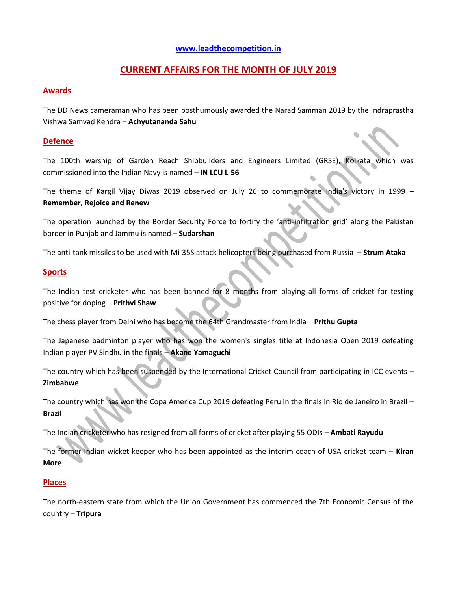## **[www.leadthecompetition.in](http://www.leadthecompetition.in/)**

# **CURRENT AFFAIRS FOR THE MONTH OF JULY 2019**

#### **Awards**

The DD News cameraman who has been posthumously awarded the Narad Samman 2019 by the Indraprastha Vishwa Samvad Kendra – **Achyutananda Sahu**

### **Defence**

The 100th warship of Garden Reach Shipbuilders and Engineers Limited (GRSE), Kolkata which was commissioned into the Indian Navy is named – **IN LCU L-56**

The theme of Kargil Vijay Diwas 2019 observed on July 26 to commemorate India's victory in 1999 – **Remember, Rejoice and Renew**

The operation launched by the Border Security Force to fortify the 'anti-infiltration grid' along the Pakistan border in Punjab and Jammu is named – **Sudarshan**

The anti-tank missiles to be used with Mi-35S attack helicopters being purchased from Russia – **Strum Ataka**

#### **Sports**

The Indian test cricketer who has been banned for 8 months from playing all forms of cricket for testing positive for doping – **Prithvi Shaw**

The chess player from Delhi who has become the 64th Grandmaster from India – **Prithu Gupta**

The Japanese badminton player who has won the women's singles title at Indonesia Open 2019 defeating Indian player PV Sindhu in the finals – **Akane Yamaguchi**

The country which has been suspended by the International Cricket Council from participating in ICC events – **Zimbabwe**

The country which has won the Copa America Cup 2019 defeating Peru in the finals in Rio de Janeiro in Brazil – **Brazil**

The Indian cricketer who has resigned from all forms of cricket after playing 55 ODIs – **Ambati Rayudu**

The former Indian wicket-keeper who has been appointed as the interim coach of USA cricket team – **Kiran More**

#### **Places**

The north-eastern state from which the Union Government has commenced the 7th Economic Census of the country – **Tripura**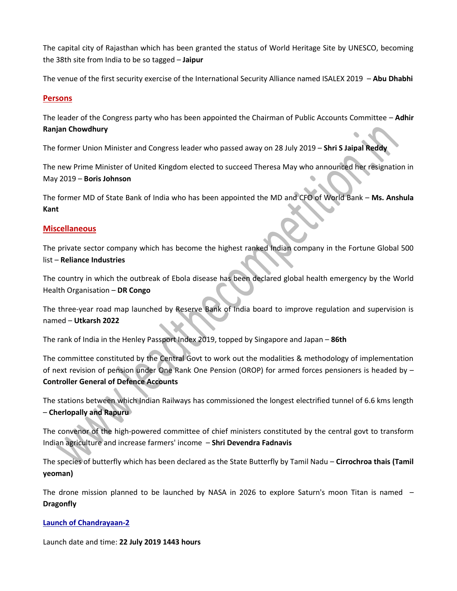The capital city of Rajasthan which has been granted the status of World Heritage Site by UNESCO, becoming the 38th site from India to be so tagged – **Jaipur**

The venue of the first security exercise of the International Security Alliance named ISALEX 2019 – **Abu Dhabhi**

### **Persons**

The leader of the Congress party who has been appointed the Chairman of Public Accounts Committee – **Adhir Ranjan Chowdhury**

The former Union Minister and Congress leader who passed away on 28 July 2019 – **Shri S Jaipal Reddy**

The new Prime Minister of United Kingdom elected to succeed Theresa May who announced her resignation in May 2019 – **Boris Johnson**

The former MD of State Bank of India who has been appointed the MD and CFO of World Bank – **Ms. Anshula Kant**

### **Miscellaneous**

The private sector company which has become the highest ranked Indian company in the Fortune Global 500 list – **Reliance Industries**

The country in which the outbreak of Ebola disease has been declared global health emergency by the World Health Organisation – **DR Congo**

The three-year road map launched by Reserve Bank of India board to improve regulation and supervision is named – **Utkarsh 2022**

The rank of India in the Henley Passport Index 2019, topped by Singapore and Japan – **86th**

The committee constituted by the Central Govt to work out the modalities & methodology of implementation of next revision of pension under One Rank One Pension (OROP) for armed forces pensioners is headed by – **Controller General of Defence Accounts**

The stations between which Indian Railways has commissioned the longest electrified tunnel of 6.6 kms length – **Cherlopally and Rapuru**

The convenor of the high-powered committee of chief ministers constituted by the central govt to transform Indian agriculture and increase farmers' income – **Shri Devendra Fadnavis**

The species of butterfly which has been declared as the State Butterfly by Tamil Nadu – **Cirrochroa thais (Tamil yeoman)**

The drone mission planned to be launched by NASA in 2026 to explore Saturn's moon Titan is named – **Dragonfly**

## **Launch of Chandrayaan-2**

Launch date and time: **22 July 2019 1443 hours**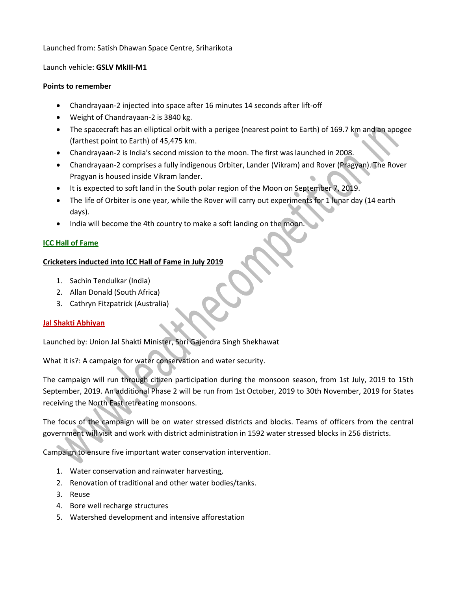#### Launched from: Satish Dhawan Space Centre, Sriharikota

#### Launch vehicle: **GSLV MkIII-M1**

#### **Points to remember**

- Chandrayaan-2 injected into space after 16 minutes 14 seconds after lift-off
- Weight of Chandrayaan-2 is 3840 kg.
- The spacecraft has an elliptical orbit with a perigee (nearest point to Earth) of 169.7 km and an apogee (farthest point to Earth) of 45,475 km.
- Chandrayaan-2 is India's second mission to the moon. The first was launched in 2008.
- Chandrayaan-2 comprises a fully indigenous Orbiter, Lander (Vikram) and Rover (Pragyan). The Rover Pragyan is housed inside Vikram lander.
- It is expected to soft land in the South polar region of the Moon on September 7, 2019.
- The life of Orbiter is one year, while the Rover will carry out experiments for 1 lunar day (14 earth days).
- India will become the 4th country to make a soft landing on the moon.

#### **ICC Hall of Fame**

#### **Cricketers inducted into ICC Hall of Fame in July 2019**

- 1. Sachin Tendulkar (India)
- 2. Allan Donald (South Africa)
- 3. Cathryn Fitzpatrick (Australia)

#### **Jal Shakti Abhiyan**

Launched by: Union Jal Shakti Minister, Shri Gajendra Singh Shekhawat

What it is?: A campaign for water conservation and water security.

The campaign will run through citizen participation during the monsoon season, from 1st July, 2019 to 15th September, 2019. An additional Phase 2 will be run from 1st October, 2019 to 30th November, 2019 for States receiving the North East retreating monsoons.

The focus of the campaign will be on water stressed districts and blocks. Teams of officers from the central government will visit and work with district administration in 1592 water stressed blocks in 256 districts.

Campaign to ensure five important water conservation intervention.

- 1. Water conservation and rainwater harvesting,
- 2. Renovation of traditional and other water bodies/tanks.
- 3. Reuse
- 4. Bore well recharge structures
- 5. Watershed development and intensive afforestation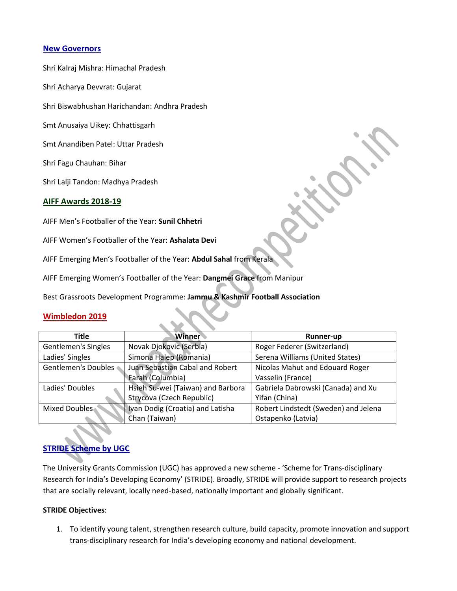### **New Governors**

Shri Kalraj Mishra: Himachal Pradesh

Shri Acharya Devvrat: Gujarat

Shri Biswabhushan Harichandan: Andhra Pradesh

Smt Anusaiya Uikey: Chhattisgarh

Smt Anandiben Patel: Uttar Pradesh

Shri Fagu Chauhan: Bihar

Shri Lalji Tandon: Madhya Pradesh

#### **AIFF Awards 2018-19**

AIFF Men's Footballer of the Year: **Sunil Chhetri**

AIFF Women's Footballer of the Year: **Ashalata Devi**

AIFF Emerging Men's Footballer of the Year: **Abdul Sahal** from Kerala

AIFF Emerging Women's Footballer of the Year: **Dangmei Grace** from Manipur

Best Grassroots Development Programme: **Jammu & Kashmir Football Association**

#### **Wimbledon 2019**

| <b>Title</b>               | <b>Winner</b>                     | <b>Runner-up</b>                     |
|----------------------------|-----------------------------------|--------------------------------------|
| <b>Gentlemen's Singles</b> | Novak Djokovic (Serbia)           | Roger Federer (Switzerland)          |
| Ladies' Singles            | Simona Halep (Romania)            | Serena Williams (United States)      |
| Gentlemen's Doubles        | Juan Sebastian Cabal and Robert   | Nicolas Mahut and Edouard Roger      |
|                            | Farah (Columbia)                  | Vasselin (France)                    |
| Ladies' Doubles            | Hsieh Su-wei (Taiwan) and Barbora | Gabriela Dabrowski (Canada) and Xu   |
|                            | Strycova (Czech Republic)         | Yifan (China)                        |
| Mixed Doubles              | Ivan Dodig (Croatia) and Latisha  | Robert Lindstedt (Sweden) and Jelena |
|                            | Chan (Taiwan)                     | Ostapenko (Latvia)                   |

## **STRIDE Scheme by UGC**

The University Grants Commission (UGC) has approved a new scheme - 'Scheme for Trans-disciplinary Research for India's Developing Economy' (STRIDE). Broadly, STRIDE will provide support to research projects that are socially relevant, locally need-based, nationally important and globally significant.

#### **STRIDE Objectives**:

1. To identify young talent, strengthen research culture, build capacity, promote innovation and support trans-disciplinary research for India's developing economy and national development.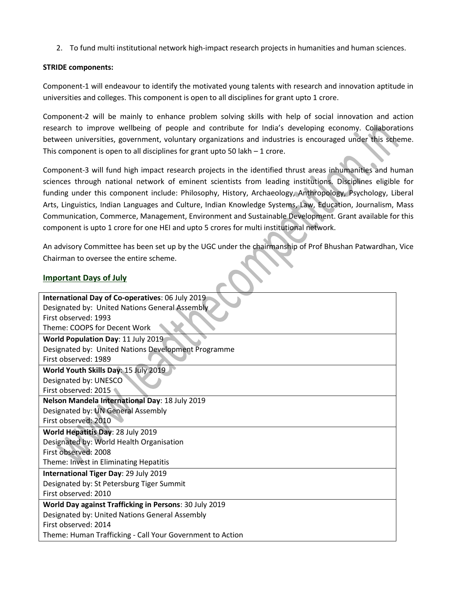2. To fund multi institutional network high-impact research projects in humanities and human sciences.

#### **STRIDE components:**

Component-1 will endeavour to identify the motivated young talents with research and innovation aptitude in universities and colleges. This component is open to all disciplines for grant upto 1 crore.

Component-2 will be mainly to enhance problem solving skills with help of social innovation and action research to improve wellbeing of people and contribute for India's developing economy. Collaborations between universities, government, voluntary organizations and industries is encouraged under this scheme. This component is open to all disciplines for grant upto 50 lakh  $-1$  crore.

Component-3 will fund high impact research projects in the identified thrust areas inhumanities and human sciences through national network of eminent scientists from leading institutions. Disciplines eligible for funding under this component include: Philosophy, History, Archaeology, Anthropology, Psychology, Liberal Arts, Linguistics, Indian Languages and Culture, Indian Knowledge Systems, Law, Education, Journalism, Mass Communication, Commerce, Management, Environment and Sustainable Development. Grant available for this component is upto 1 crore for one HEI and upto 5 crores for multi institutional network.

An advisory Committee has been set up by the UGC under the chairmanship of Prof Bhushan Patwardhan, Vice Chairman to oversee the entire scheme.

#### **Important Days of July**

| International Day of Co-operatives: 06 July 2019          |  |  |
|-----------------------------------------------------------|--|--|
| Designated by: United Nations General Assembly            |  |  |
| First observed: 1993                                      |  |  |
| Theme: COOPS for Decent Work                              |  |  |
| World Population Day: 11 July 2019                        |  |  |
| Designated by: United Nations Development Programme       |  |  |
| First observed: 1989                                      |  |  |
| World Youth Skills Day: 15 July 2019                      |  |  |
| Designated by: UNESCO                                     |  |  |
| First observed: 2015                                      |  |  |
| Nelson Mandela International Day: 18 July 2019            |  |  |
| Designated by: UN General Assembly                        |  |  |
| First observed: 2010                                      |  |  |
| World Hepatitis Day: 28 July 2019                         |  |  |
| Designated by: World Health Organisation                  |  |  |
| First observed: 2008                                      |  |  |
| Theme: Invest in Eliminating Hepatitis                    |  |  |
| International Tiger Day: 29 July 2019                     |  |  |
| Designated by: St Petersburg Tiger Summit                 |  |  |
| First observed: 2010                                      |  |  |
| World Day against Trafficking in Persons: 30 July 2019    |  |  |
| Designated by: United Nations General Assembly            |  |  |
| First observed: 2014                                      |  |  |
| Theme: Human Trafficking - Call Your Government to Action |  |  |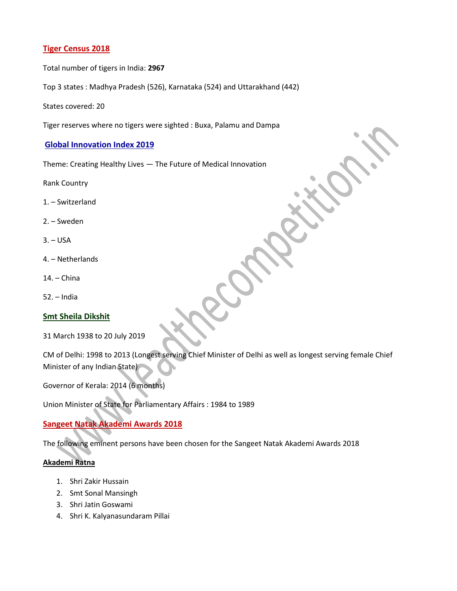## **Tiger Census 2018**

Total number of tigers in India: **2967**

Top 3 states : Madhya Pradesh (526), Karnataka (524) and Uttarakhand (442)

States covered: 20

Tiger reserves where no tigers were sighted : Buxa, Palamu and Dampa

#### **Global Innovation Index 2019**

Theme: Creating Healthy Lives — The Future of Medical Innovation

Rank Country

- 1. Switzerland
- 2. Sweden
- $3. USA$
- 4. Netherlands
- 14. China
- 52. India

#### **Smt Sheila Dikshit**

31 March 1938 to 20 July 2019

CM of Delhi: 1998 to 2013 (Longest serving Chief Minister of Delhi as well as longest serving female Chief Minister of any Indian State)

Governor of Kerala: 2014 (6 months)

Union Minister of State for Parliamentary Affairs : 1984 to 1989

# **Sangeet Natak Akademi Awards 2018**

The following eminent persons have been chosen for the Sangeet Natak Akademi Awards 2018

#### **Akademi Ratna**

- 1. Shri Zakir Hussain
- 2. Smt Sonal Mansingh
- 3. Shri Jatin Goswami
- 4. Shri K. Kalyanasundaram Pillai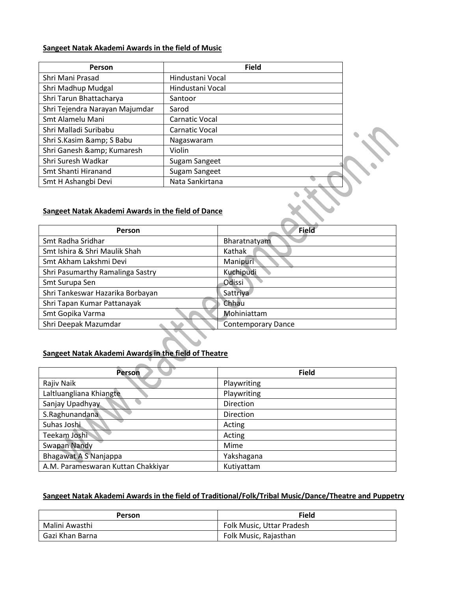#### **Sangeet Natak Akademi Awards in the field of Music**

| Person                         | <b>Field</b>          |  |
|--------------------------------|-----------------------|--|
| Shri Mani Prasad               | Hindustani Vocal      |  |
| Shri Madhup Mudgal             | Hindustani Vocal      |  |
| Shri Tarun Bhattacharya        | Santoor               |  |
| Shri Tejendra Narayan Majumdar | Sarod                 |  |
| Smt Alamelu Mani               | <b>Carnatic Vocal</b> |  |
| Shri Malladi Suribabu          | <b>Carnatic Vocal</b> |  |
| Shri S.Kasim & S Babu          | Nagaswaram            |  |
| Shri Ganesh & Kumaresh         | Violin                |  |
| Shri Suresh Wadkar             | Sugam Sangeet         |  |
| Smt Shanti Hiranand            | Sugam Sangeet         |  |
| Smt H Ashangbi Devi            | Nata Sankirtana       |  |

### **Sangeet Natak Akademi Awards in the field of Dance**

| <b>Person</b>                    | Field                     |
|----------------------------------|---------------------------|
| Smt Radha Sridhar                | Bharatnatyam              |
| Smt Ishira & Shri Maulik Shah    | Kathak                    |
| Smt Akham Lakshmi Devi           | Manipuri                  |
| Shri Pasumarthy Ramalinga Sastry | Kuchipudi                 |
| Smt Surupa Sen                   | Odissi                    |
| Shri Tankeswar Hazarika Borbayan | Sattriya                  |
| Shri Tapan Kumar Pattanayak      | Chhau                     |
| Smt Gopika Varma                 | Mohiniattam               |
| Shri Deepak Mazumdar             | <b>Contemporary Dance</b> |

 $\sum_{i=1}^{n}$ 

## **Sangeet Natak Akademi Awards in the field of Theatre**

| <b>Person</b>                      | <b>Field</b>     |
|------------------------------------|------------------|
| Rajiv Naik                         | Playwriting      |
| Laltluangliana Khiangte            | Playwriting      |
| Sanjay Upadhyay                    | <b>Direction</b> |
| S.Raghunandana                     | <b>Direction</b> |
| Suhas Joshi                        | Acting           |
| Teekam Joshi                       | Acting           |
| <b>Swapan Nandy</b>                | Mime             |
| Bhagawat A S Nanjappa              | Yakshagana       |
| A.M. Parameswaran Kuttan Chakkiyar | Kutiyattam       |

## **Sangeet Natak Akademi Awards in the field of Traditional/Folk/Tribal Music/Dance/Theatre and Puppetry**

| <b>Person</b>   | <b>Field</b>              |
|-----------------|---------------------------|
| Malini Awasthi  | Folk Music, Uttar Pradesh |
| Gazi Khan Barna | Folk Music, Rajasthan     |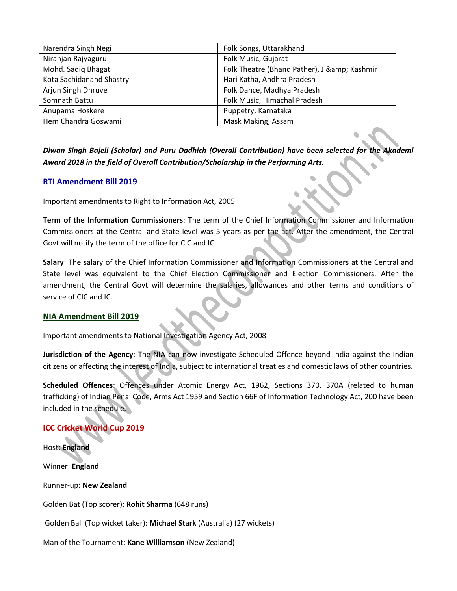| Narendra Singh Negi      | Folk Songs, Uttarakhand                  |
|--------------------------|------------------------------------------|
| Niranjan Rajyaguru       | Folk Music, Gujarat                      |
| Mohd. Sadiq Bhagat       | Folk Theatre (Bhand Pather), J & Kashmir |
| Kota Sachidanand Shastry | Hari Katha, Andhra Pradesh               |
| Arjun Singh Dhruve       | Folk Dance, Madhya Pradesh               |
| Somnath Battu            | Folk Music, Himachal Pradesh             |
| Anupama Hoskere          | Puppetry, Karnataka                      |
| Hem Chandra Goswami      | Mask Making, Assam                       |

*Diwan Singh Bajeli (Scholar) and Puru Dadhich (Overall Contribution) have been selected for the Akademi Award 2018 in the field of Overall Contribution/Scholarship in the Performing Arts.*

### **RTI Amendment Bill 2019**

Important amendments to Right to Information Act, 2005

**Term of the Information Commissioners**: The term of the Chief Information Commissioner and Information Commissioners at the Central and State level was 5 years as per the act. After the amendment, the Central Govt will notify the term of the office for CIC and IC.

**Salary**: The salary of the Chief Information Commissioner and Information Commissioners at the Central and State level was equivalent to the Chief Election Commissioner and Election Commissioners. After the amendment, the Central Govt will determine the salaries, allowances and other terms and conditions of service of CIC and IC.

## **NIA Amendment Bill 2019**

Important amendments to National Investigation Agency Act, 2008

**Jurisdiction of the Agency**: The NIA can now investigate Scheduled Offence beyond India against the Indian citizens or affecting the interest of India, subject to international treaties and domestic laws of other countries.

**Scheduled Offences**: Offences under Atomic Energy Act, 1962, Sections 370, 370A (related to human trafficking) of Indian Penal Code, Arms Act 1959 and Section 66F of Information Technology Act, 200 have been included in the schedule.

# **ICC Cricket World Cup 2019**

Host: **England** Winner: **England** Runner-up: **New Zealand** Golden Bat (Top scorer): **Rohit Sharma** (648 runs) Golden Ball (Top wicket taker): **Michael Stark** (Australia) (27 wickets) Man of the Tournament: **Kane Williamson** (New Zealand)